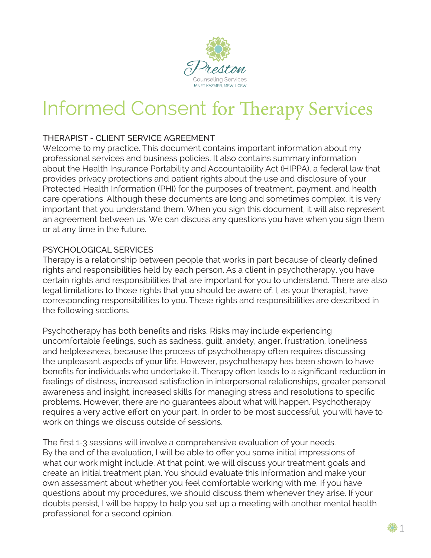

# Informed Consent for Therapy Services

# THERAPIST - CLIENT SERVICE AGREEMENT

Welcome to my practice. This document contains important information about my professional services and business policies. It also contains summary information about the Health Insurance Portability and Accountability Act (HIPPA), a federal law that provides privacy protections and patient rights about the use and disclosure of your Protected Health Information (PHI) for the purposes of treatment, payment, and health care operations. Although these documents are long and sometimes complex, it is very important that you understand them. When you sign this document, it will also represent an agreement between us. We can discuss any questions you have when you sign them or at any time in the future.

#### PSYCHOLOGICAL SERVICES

Therapy is a relationship between people that works in part because of clearly defined rights and responsibilities held by each person. As a client in psychotherapy, you have certain rights and responsibilities that are important for you to understand. There are also legal limitations to those rights that you should be aware of. I, as your therapist, have corresponding responsibilities to you. These rights and responsibilities are described in the following sections.

Psychotherapy has both benefits and risks. Risks may include experiencing uncomfortable feelings, such as sadness, guilt, anxiety, anger, frustration, loneliness and helplessness, because the process of psychotherapy often requires discussing the unpleasant aspects of your life. However, psychotherapy has been shown to have benefits for individuals who undertake it. Therapy often leads to a significant reduction in feelings of distress, increased satisfaction in interpersonal relationships, greater personal awareness and insight, increased skills for managing stress and resolutions to specific problems. However, there are no guarantees about what will happen. Psychotherapy requires a very active effort on your part. In order to be most successful, you will have to work on things we discuss outside of sessions.

The first 1-3 sessions will involve a comprehensive evaluation of your needs. By the end of the evaluation, I will be able to offer you some initial impressions of what our work might include. At that point, we will discuss your treatment goals and create an initial treatment plan. You should evaluate this information and make your own assessment about whether you feel comfortable working with me. If you have questions about my procedures, we should discuss them whenever they arise. If your doubts persist, I will be happy to help you set up a meeting with another mental health professional for a second opinion.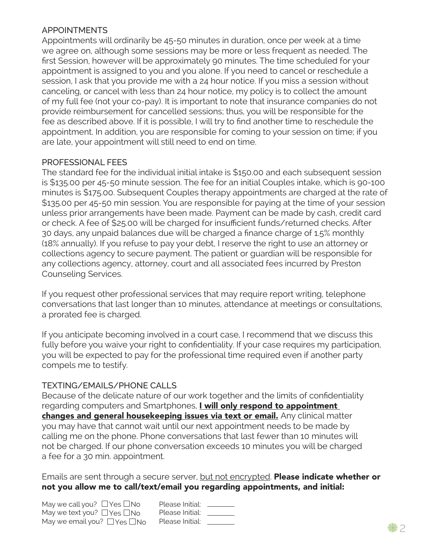#### APPOINTMENTS

Appointments will ordinarily be 45-50 minutes in duration, once per week at a time we agree on, although some sessions may be more or less frequent as needed. The first Session, however will be approximately 90 minutes. The time scheduled for your appointment is assigned to you and you alone. If you need to cancel or reschedule a session, I ask that you provide me with a 24 hour notice. If you miss a session without canceling, or cancel with less than 24 hour notice, my policy is to collect the amount of my full fee (not your co-pay). It is important to note that insurance companies do not provide reimbursement for cancelled sessions; thus, you will be responsible for the fee as described above. If it is possible, I will try to find another time to reschedule the appointment. In addition, you are responsible for coming to your session on time; if you are late, your appointment will still need to end on time.

## PROFESSIONAL FEES

The standard fee for the individual initial intake is \$150.00 and each subsequent session is \$135.00 per 45-50 minute session. The fee for an initial Couples intake, which is 90-100 minutes is \$175.00. Subsequent Couples therapy appointments are charged at the rate of \$135.00 per 45-50 min session. You are responsible for paying at the time of your session unless prior arrangements have been made. Payment can be made by cash, credit card or check. A fee of \$25.00 will be charged for insufficient funds/returned checks. After 30 days, any unpaid balances due will be charged a finance charge of 1.5% monthly (18% annually). If you refuse to pay your debt, I reserve the right to use an attorney or collections agency to secure payment. The patient or guardian will be responsible for any collections agency, attorney, court and all associated fees incurred by Preston Counseling Services.

If you request other professional services that may require report writing, telephone conversations that last longer than 10 minutes, attendance at meetings or consultations, a prorated fee is charged.

If you anticipate becoming involved in a court case, I recommend that we discuss this fully before you waive your right to confidentiality. If your case requires my participation, you will be expected to pay for the professional time required even if another party compels me to testify.

# TEXTING/EMAILS/PHONE CALLS

Because of the delicate nature of our work together and the limits of confidentiality regarding computers and Smartphones, *I will only respond to appointment* changes and general housekeeping issues via text or email. Any clinical matter you may have that cannot wait until our next appointment needs to be made by calling me on the phone. Phone conversations that last fewer than 10 minutes will not be charged. If our phone conversation exceeds 10 minutes you will be charged a fee for a 30 min. appointment.

Emails are sent through a secure server, but not encrypted. Please indicate whether or not you allow me to call/text/email you regarding appointments, and initial:

| May we call you? $\Box$ Yes $\Box$ No  | Please Initial: |
|----------------------------------------|-----------------|
| May we text you? $\Box$ Yes $\Box$ No  | Please Initial: |
| May we email you? $\Box$ Yes $\Box$ No | Please Initial: |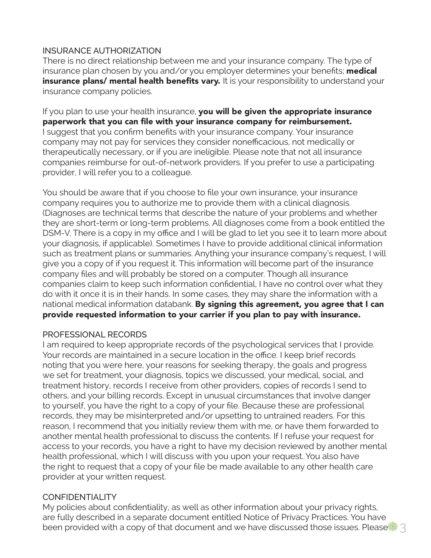## INSURANCE AUTHORIZATION

There is no direct relationship between me and your insurance company. The type of insurance plan chosen by you and/or you employer determines your benefits; medical insurance plans/ mental health benefits vary. It is your responsibility to understand your insurance company policies.

If you plan to use your health insurance, you will be given the appropriate insurance paperwork that you can file with your insurance company for reimbursement. I suggest that you confirm benefits with your insurance company. Your insurance company may not pay for services they consider nonefficacious, not medically or therapeutically necessary, or if you are ineligible. Please note that not all insurance companies reimburse for out-of-network providers. If you prefer to use a participating provider, I will refer you to a colleague.

You should be aware that if you choose to file your own insurance, your insurance company requires you to authorize me to provide them with a clinical diagnosis. (Diagnoses are technical terms that describe the nature of your problems and whether they are short-term or long-term problems. All diagnoses come from a book entitled the DSM-V. There is a copy in my office and I will be glad to let you see it to learn more about your diagnosis, if applicable). Sometimes I have to provide additional clinical information such as treatment plans or summaries. Anything your insurance company's request, I will give you a copy of if you request it. This information will become part of the insurance company files and will probably be stored on a computer. Though all insurance companies claim to keep such information confidential, I have no control over what they do with it once it is in their hands. In some cases, they may share the information with a national medical information databank. By signing this agreement, you agree that I can provide requested information to your carrier if you plan to pay with insurance.

#### PROFESSIONAL RECORDS

I am required to keep appropriate records of the psychological services that I provide. Your records are maintained in a secure location in the office. I keep brief records noting that you were here, your reasons for seeking therapy, the goals and progress we set for treatment, your diagnosis, topics we discussed, your medical, social, and treatment history, records I receive from other providers, copies of records I send to others, and your billing records. Except in unusual circumstances that involve danger to yourself, you have the right to a copy of your file. Because these are professional records, they may be misinterpreted and/or upsetting to untrained readers. For this reason, I recommend that you initially review them with me, or have them forwarded to another mental health professional to discuss the contents. If I refuse your request for access to your records, you have a right to have my decision reviewed by another mental health professional, which I will discuss with you upon your request. You also have the right to request that a copy of your file be made available to any other health care provider at your written request.

# **CONFIDENTIALITY**

My policies about confidentiality, as well as other information about your privacy rights, are fully described in a separate document entitled Notice of Privacy Practices. You have been provided with a copy of that document and we have discussed those issues. Please  $\mathbb{R}^3$